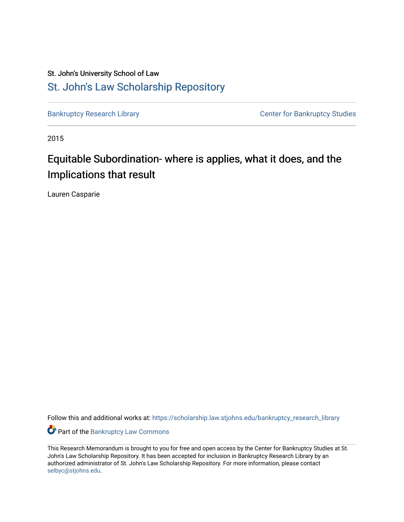# St. John's University School of Law [St. John's Law Scholarship Repository](https://scholarship.law.stjohns.edu/)

[Bankruptcy Research Library](https://scholarship.law.stjohns.edu/bankruptcy_research_library) **CENTER CENTER STANDARY CENTER CENTER STANDARY CENTER STANDARY CENTER STANDARY CENTER** 

2015

# Equitable Subordination- where is applies, what it does, and the Implications that result

Lauren Casparie

Follow this and additional works at: [https://scholarship.law.stjohns.edu/bankruptcy\\_research\\_library](https://scholarship.law.stjohns.edu/bankruptcy_research_library?utm_source=scholarship.law.stjohns.edu%2Fbankruptcy_research_library%2F157&utm_medium=PDF&utm_campaign=PDFCoverPages) 

**Part of the Bankruptcy Law Commons** 

This Research Memorandum is brought to you for free and open access by the Center for Bankruptcy Studies at St. John's Law Scholarship Repository. It has been accepted for inclusion in Bankruptcy Research Library by an authorized administrator of St. John's Law Scholarship Repository. For more information, please contact [selbyc@stjohns.edu](mailto:selbyc@stjohns.edu).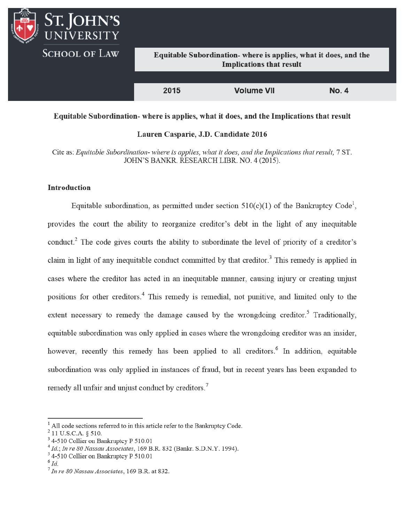

### Equitable Subordination- where is applies, what it does, and the Implications that result

#### Lauren Casparie, J.D. Candidate 2016

Cite as: Equitable Subordination- where is applies, what it does, and the Implications that result, 7 ST. JOHN'S BANKR. RESEARCH LIBR. NO. 4 (2015).

## **Introduction**

Equitable subordination, as permitted under section  $510(c)(1)$  of the Bankruptcy Code<sup>1</sup>. provides the court the ability to reorganize creditor's debt in the light of any inequitable conduct.<sup>2</sup> The code gives courts the ability to subordinate the level of priority of a creditor's claim in light of any inequitable conduct committed by that creditor.<sup>3</sup> This remedy is applied in cases where the creditor has acted in an inequitable manner, causing injury or creating unjust positions for other creditors.<sup>4</sup> This remedy is remedial, not punitive, and limited only to the extent necessary to remedy the damage caused by the wrongdoing creditor.<sup>5</sup> Traditionally, equitable subordination was only applied in cases where the wrongdoing creditor was an insider, however, recently this remedy has been applied to all creditors.<sup>6</sup> In addition, equitable subordination was only applied in instances of fraud, but in recent years has been expanded to remedy all unfair and unjust conduct by creditors.<sup>7</sup>

<sup>&</sup>lt;sup>1</sup> All code sections referred to in this article refer to the Bankruptcy Code.

 $2$  11 U.S.C.A. § 510.

<sup>&</sup>lt;sup>3</sup> 4-510 Collier on Bankruptcy P 510.01

 $4$  Id.; In re 80 Nassau Associates, 169 B.R. 832 (Bankr. S.D.N.Y. 1994).

<sup>&</sup>lt;sup>5</sup> 4-510 Collier on Bankruptcy P 510.01

 $^{6}$  Id.

 $7$  In re 80 Nassau Associates, 169 B.R. at 832.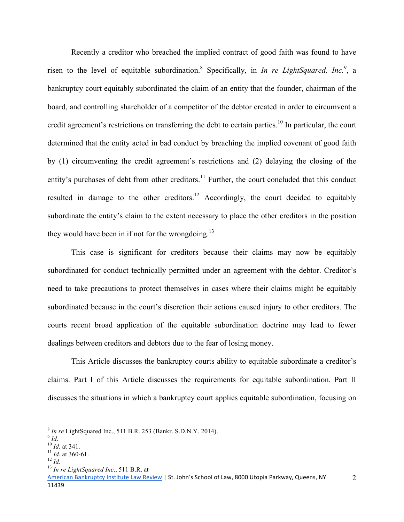Recently a creditor who breached the implied contract of good faith was found to have risen to the level of equitable subordination.<sup>8</sup> Specifically, in *In re LightSquared, Inc.*<sup>9</sup>, a bankruptcy court equitably subordinated the claim of an entity that the founder, chairman of the board, and controlling shareholder of a competitor of the debtor created in order to circumvent a credit agreement's restrictions on transferring the debt to certain parties.<sup>10</sup> In particular, the court determined that the entity acted in bad conduct by breaching the implied covenant of good faith by (1) circumventing the credit agreement's restrictions and (2) delaying the closing of the entity's purchases of debt from other creditors.<sup>11</sup> Further, the court concluded that this conduct resulted in damage to the other creditors.<sup>12</sup> Accordingly, the court decided to equitably subordinate the entity's claim to the extent necessary to place the other creditors in the position they would have been in if not for the wrongdoing.<sup>13</sup>

This case is significant for creditors because their claims may now be equitably subordinated for conduct technically permitted under an agreement with the debtor. Creditor's need to take precautions to protect themselves in cases where their claims might be equitably subordinated because in the court's discretion their actions caused injury to other creditors. The courts recent broad application of the equitable subordination doctrine may lead to fewer dealings between creditors and debtors due to the fear of losing money.

 This Article discusses the bankruptcy courts ability to equitable subordinate a creditor's claims. Part I of this Article discusses the requirements for equitable subordination. Part II discusses the situations in which a bankruptcy court applies equitable subordination, focusing on

 $\overline{a}$ 

<sup>8</sup> *In re* LightSquared Inc., 511 B.R. 253 (Bankr. S.D.N.Y. 2014).<br>
<sup>9</sup> *Id.*<br>
<sup>10</sup> *Id.* at 341.<br>
<sup>11</sup> *Id.* at 360-61.<br>
<sup>12</sup> *Id.*<br>
<sup>13</sup> *In re LightSquared Inc.*, 511 B.R. at

American Bankruptcy Institute Law Review | St. John's School of Law, 8000 Utopia Parkway, Queens, NY 11439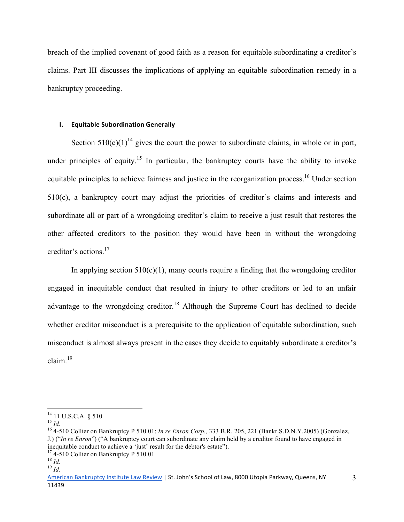breach of the implied covenant of good faith as a reason for equitable subordinating a creditor's claims. Part III discusses the implications of applying an equitable subordination remedy in a bankruptcy proceeding.

# **I. Equitable Subordination Generally**

Section  $510(c)(1)^{14}$  gives the court the power to subordinate claims, in whole or in part, under principles of equity.<sup>15</sup> In particular, the bankruptcy courts have the ability to invoke equitable principles to achieve fairness and justice in the reorganization process.<sup>16</sup> Under section 510(c), a bankruptcy court may adjust the priorities of creditor's claims and interests and subordinate all or part of a wrongdoing creditor's claim to receive a just result that restores the other affected creditors to the position they would have been in without the wrongdoing creditor's actions.17

In applying section  $510(c)(1)$ , many courts require a finding that the wrongdoing creditor engaged in inequitable conduct that resulted in injury to other creditors or led to an unfair advantage to the wrongdoing creditor.<sup>18</sup> Although the Supreme Court has declined to decide whether creditor misconduct is a prerequisite to the application of equitable subordination, such misconduct is almost always present in the cases they decide to equitably subordinate a creditor's  $claim$ <sup>19</sup>

 $14$  11 U.S.C.A. § 510

<sup>&</sup>lt;sup>15</sup> *Id.*<br><sup>16</sup> 4-510 Collier on Bankruptcy P 510.01; *In re Enron Corp.*, 333 B.R. 205, 221 (Bankr.S.D.N.Y.2005) (Gonzalez, J.) ("*In re Enron*") ("A bankruptcy court can subordinate any claim held by a creditor found to have engaged in inequitable conduct to achieve a 'just' result for the debtor's estate").

<sup>17 4-510</sup> Collier on Bankruptcy P 510.01 <sup>18</sup> *Id*. 19 *Id*.

American Bankruptcy Institute Law Review | St. John's School of Law, 8000 Utopia Parkway, Queens, NY 11439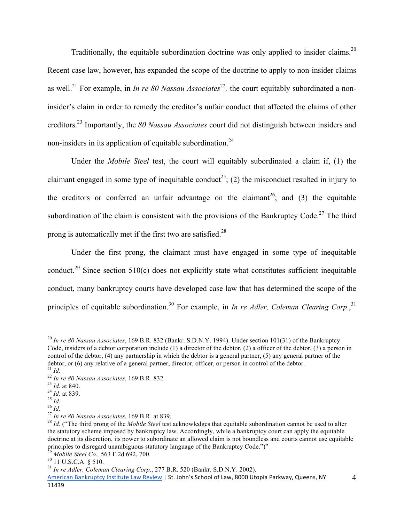Traditionally, the equitable subordination doctrine was only applied to insider claims.<sup>20</sup> Recent case law, however, has expanded the scope of the doctrine to apply to non-insider claims as well.<sup>21</sup> For example, in *In re 80 Nassau Associates*<sup>22</sup>, the court equitably subordinated a noninsider's claim in order to remedy the creditor's unfair conduct that affected the claims of other creditors.23 Importantly, the *80 Nassau Associates* court did not distinguish between insiders and non-insiders in its application of equitable subordination.<sup>24</sup>

Under the *Mobile Steel* test, the court will equitably subordinated a claim if, (1) the claimant engaged in some type of inequitable conduct<sup>25</sup>; (2) the misconduct resulted in injury to the creditors or conferred an unfair advantage on the claimant<sup>26</sup>; and (3) the equitable subordination of the claim is consistent with the provisions of the Bankruptcy Code.<sup>27</sup> The third prong is automatically met if the first two are satisfied.28

Under the first prong, the claimant must have engaged in some type of inequitable conduct.<sup>29</sup> Since section 510(c) does not explicitly state what constitutes sufficient inequitable conduct, many bankruptcy courts have developed case law that has determined the scope of the principles of equitable subordination.<sup>30</sup> For example, in *In re Adler, Coleman Clearing Corp.*,<sup>31</sup>

 $\overline{a}$ <sup>20</sup> *In re 80 Nassau Associates*, 169 B.R. 832 (Bankr. S.D.N.Y. 1994). Under section 101(31) of the Bankruptcy Code, insiders of a debtor corporation include (1) a director of the debtor, (2) a officer of the debtor, (3) a person in control of the debtor, (4) any partnership in which the debtor is a general partner, (5) any general partner of the debtor, or (6) any relative of a general partner, director, officer, or person in control of the debtor.<br>
<sup>21</sup> *Id.*<br>
<sup>22</sup> *In re 80 Nassau Associates*, 169 B.R. 832<br>
<sup>23</sup> *Id.* at 839.<br>
<sup>24</sup> *Id.*<br>
<sup>24</sup> *Id.* at 839.<br>
<sup>2</sup>

the statutory scheme imposed by bankruptcy law. Accordingly, while a bankruptcy court can apply the equitable doctrine at its discretion, its power to subordinate an allowed claim is not boundless and courts cannot use equitable principles to disregard unambiguous statutory language of the Bankruptcy Code.")"<br> $^{29}$  Mobile Steel Co., 563 F.2d 692, 700.

<sup>&</sup>lt;sup>30</sup> 11 U.S.C.A. § 510.<br><sup>31</sup> *In re Adler, Coleman Clearing Corp.*, 277 B.R. 520 (Bankr. S.D.N.Y. 2002).

American Bankruptcy Institute Law Review | St. John's School of Law, 8000 Utopia Parkway, Queens, NY 11439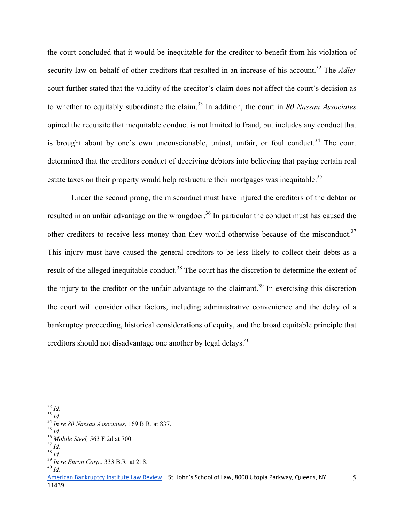the court concluded that it would be inequitable for the creditor to benefit from his violation of security law on behalf of other creditors that resulted in an increase of his account.<sup>32</sup> The *Adler* court further stated that the validity of the creditor's claim does not affect the court's decision as to whether to equitably subordinate the claim.33 In addition, the court in *80 Nassau Associates* opined the requisite that inequitable conduct is not limited to fraud, but includes any conduct that is brought about by one's own unconscionable, unjust, unfair, or foul conduct.<sup>34</sup> The court determined that the creditors conduct of deceiving debtors into believing that paying certain real estate taxes on their property would help restructure their mortgages was inequitable.<sup>35</sup>

Under the second prong, the misconduct must have injured the creditors of the debtor or resulted in an unfair advantage on the wrongdoer.<sup>36</sup> In particular the conduct must has caused the other creditors to receive less money than they would otherwise because of the misconduct.<sup>37</sup> This injury must have caused the general creditors to be less likely to collect their debts as a result of the alleged inequitable conduct.<sup>38</sup> The court has the discretion to determine the extent of the injury to the creditor or the unfair advantage to the claimant.<sup>39</sup> In exercising this discretion the court will consider other factors, including administrative convenience and the delay of a bankruptcy proceeding, historical considerations of equity, and the broad equitable principle that creditors should not disadvantage one another by legal delays.<sup>40</sup>

 $32$  Id.

<sup>&</sup>lt;sup>33</sup> *Id.*<br><sup>34</sup> *In re 80 Nassau Associates*, 169 B.R. at 837.<br><sup>35</sup> *Id.*<br><sup>36</sup> *Mobile Steel*, 563 F.2d at 700.<br><sup>37</sup> *Id.*<br><sup>38</sup> *Id.*<br><sup>39</sup> *In re Enron Corp.*, 333 B.R. at 218.<br><sup>40</sup> *Id* 

American Bankruptcy Institute Law Review | St. John's School of Law, 8000 Utopia Parkway, Queens, NY 11439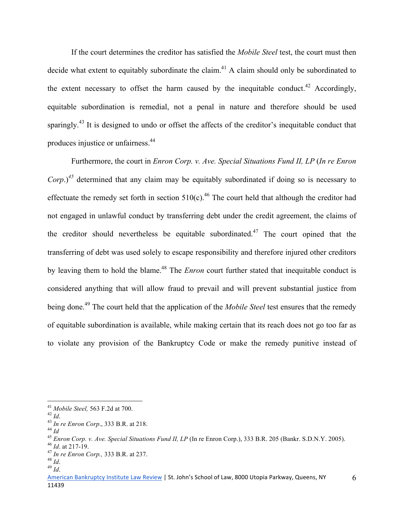If the court determines the creditor has satisfied the *Mobile Steel* test, the court must then decide what extent to equitably subordinate the claim.<sup>41</sup> A claim should only be subordinated to the extent necessary to offset the harm caused by the inequitable conduct.<sup>42</sup> Accordingly, equitable subordination is remedial, not a penal in nature and therefore should be used sparingly.<sup>43</sup> It is designed to undo or offset the affects of the creditor's inequitable conduct that produces injustice or unfairness.44

Furthermore, the court in *Enron Corp. v. Ave. Special Situations Fund II, LP* (*In re Enron Corp.*)<sup>45</sup> determined that any claim may be equitably subordinated if doing so is necessary to effectuate the remedy set forth in section  $510(c)$ .<sup>46</sup> The court held that although the creditor had not engaged in unlawful conduct by transferring debt under the credit agreement, the claims of the creditor should nevertheless be equitable subordinated.<sup>47</sup> The court opined that the transferring of debt was used solely to escape responsibility and therefore injured other creditors by leaving them to hold the blame.<sup>48</sup> The *Enron* court further stated that inequitable conduct is considered anything that will allow fraud to prevail and will prevent substantial justice from being done.49 The court held that the application of the *Mobile Steel* test ensures that the remedy of equitable subordination is available, while making certain that its reach does not go too far as to violate any provision of the Bankruptcy Code or make the remedy punitive instead of

1

<sup>&</sup>lt;sup>41</sup> Mobile Steel, 563 F.2d at 700.<br>
<sup>42</sup> Id.<br>
<sup>43</sup> In re Enron Corp., 333 B.R. at 218.<br>
<sup>44</sup> Id.<br>
<sup>45</sup> Enron Corp. v. Ave. Special Situations Fund II, LP (In re Enron Corp.), 333 B.R. 205 (Bankr. S.D.N.Y. 2005).<br>
<sup>46</sup> Id

American Bankruptcy Institute Law Review | St. John's School of Law, 8000 Utopia Parkway, Queens, NY 11439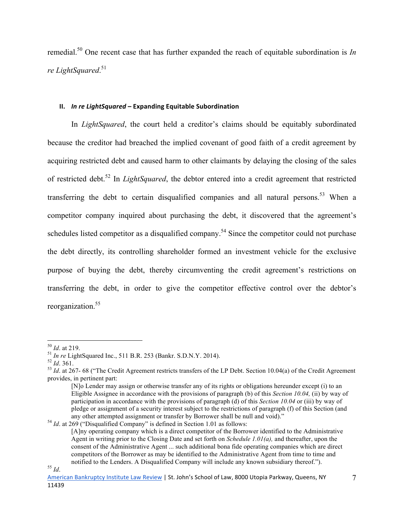remedial.50 One recent case that has further expanded the reach of equitable subordination is *In re LightSquared*. 51

# **II.** *In re LightSquared* – Expanding Equitable Subordination

 In *LightSquared*, the court held a creditor's claims should be equitably subordinated because the creditor had breached the implied covenant of good faith of a credit agreement by acquiring restricted debt and caused harm to other claimants by delaying the closing of the sales of restricted debt.52 In *LightSquared*, the debtor entered into a credit agreement that restricted transferring the debt to certain disqualified companies and all natural persons.<sup>53</sup> When a competitor company inquired about purchasing the debt, it discovered that the agreement's schedules listed competitor as a disqualified company.<sup>54</sup> Since the competitor could not purchase the debt directly, its controlling shareholder formed an investment vehicle for the exclusive purpose of buying the debt, thereby circumventing the credit agreement's restrictions on transferring the debt, in order to give the competitor effective control over the debtor's reorganization.55

 $50$  *Id.* at 219.

<sup>&</sup>lt;sup>51</sup> In re LightSquared Inc., 511 B.R. 253 (Bankr. S.D.N.Y. 2014).<br><sup>52</sup> Id. 361.<br><sup>53</sup> Id. at 267- 68 ("The Credit Agreement restricts transfers of the LP Debt. Section 10.04(a) of the Credit Agreement provides, in pertinent part:

<sup>[</sup>N]o Lender may assign or otherwise transfer any of its rights or obligations hereunder except (i) to an Eligible Assignee in accordance with the provisions of paragraph (b) of this *Section 10.04,* (ii) by way of participation in accordance with the provisions of paragraph (d) of this *Section 10.04* or (iii) by way of pledge or assignment of a security interest subject to the restrictions of paragraph (f) of this Section (and any other attempted assignment or transfer by Borrower shall be null and void)."<br><sup>54</sup> *Id.* at 269 ("Disqualified Company" is defined in Section 1.01 as follows:

<sup>[</sup>A]ny operating company which is a direct competitor of the Borrower identified to the Administrative Agent in writing prior to the Closing Date and set forth on *Schedule 1.01(a),* and thereafter, upon the consent of the Administrative Agent ... such additional bona fide operating companies which are direct competitors of the Borrower as may be identified to the Administrative Agent from time to time and notified to the Lenders. A Disqualified Company will include any known subsidiary thereof."). <sup>55</sup> *Id*.

American Bankruptcy Institute Law Review | St. John's School of Law, 8000 Utopia Parkway, Queens, NY 11439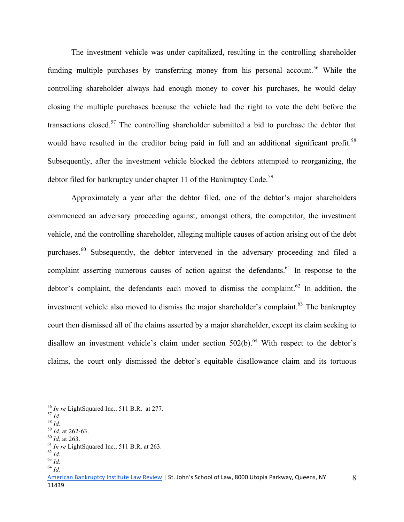The investment vehicle was under capitalized, resulting in the controlling shareholder funding multiple purchases by transferring money from his personal account.<sup>56</sup> While the controlling shareholder always had enough money to cover his purchases, he would delay closing the multiple purchases because the vehicle had the right to vote the debt before the transactions closed.<sup>57</sup> The controlling shareholder submitted a bid to purchase the debtor that would have resulted in the creditor being paid in full and an additional significant profit.<sup>58</sup> Subsequently, after the investment vehicle blocked the debtors attempted to reorganizing, the debtor filed for bankruptcy under chapter 11 of the Bankruptcy Code.<sup>59</sup>

Approximately a year after the debtor filed, one of the debtor's major shareholders commenced an adversary proceeding against, amongst others, the competitor, the investment vehicle, and the controlling shareholder, alleging multiple causes of action arising out of the debt purchases.<sup>60</sup> Subsequently, the debtor intervened in the adversary proceeding and filed a complaint asserting numerous causes of action against the defendants.<sup>61</sup> In response to the debtor's complaint, the defendants each moved to dismiss the complaint.<sup>62</sup> In addition, the investment vehicle also moved to dismiss the major shareholder's complaint. $63$  The bankruptcy court then dismissed all of the claims asserted by a major shareholder, except its claim seeking to disallow an investment vehicle's claim under section  $502(b)$ .<sup>64</sup> With respect to the debtor's claims, the court only dismissed the debtor's equitable disallowance claim and its tortuous

1

<sup>&</sup>lt;sup>56</sup> *In re* LightSquared Inc., 511 B.R. at 277.<br><sup>57</sup> *Id.*<br><sup>58</sup> *Id.* at 262-63.<br><sup>60</sup> *Id.* at 263.<br><sup>61</sup> *In re* LightSquared Inc., 511 B.R. at 263.<br><sup>62</sup> *Id.* 63 *Id.* 64 *Id* 

American Bankruptcy Institute Law Review | St. John's School of Law, 8000 Utopia Parkway, Queens, NY 11439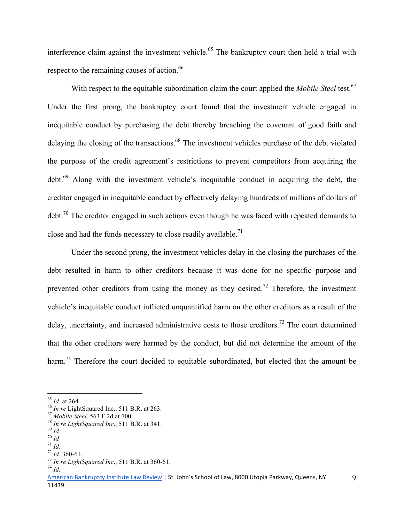interference claim against the investment vehicle.<sup>65</sup> The bankruptcy court then held a trial with respect to the remaining causes of action.<sup>66</sup>

With respect to the equitable subordination claim the court applied the *Mobile Steel* test. 67 Under the first prong, the bankruptcy court found that the investment vehicle engaged in inequitable conduct by purchasing the debt thereby breaching the covenant of good faith and delaying the closing of the transactions.<sup>68</sup> The investment vehicles purchase of the debt violated the purpose of the credit agreement's restrictions to prevent competitors from acquiring the debt.69 Along with the investment vehicle's inequitable conduct in acquiring the debt, the creditor engaged in inequitable conduct by effectively delaying hundreds of millions of dollars of  $\text{debt.}^{70}$  The creditor engaged in such actions even though he was faced with repeated demands to close and had the funds necessary to close readily available.<sup>71</sup>

Under the second prong, the investment vehicles delay in the closing the purchases of the debt resulted in harm to other creditors because it was done for no specific purpose and prevented other creditors from using the money as they desired.<sup>72</sup> Therefore, the investment vehicle's inequitable conduct inflicted unquantified harm on the other creditors as a result of the delay, uncertainty, and increased administrative costs to those creditors.<sup>73</sup> The court determined that the other creditors were harmed by the conduct, but did not determine the amount of the harm.<sup>74</sup> Therefore the court decided to equitable subordinated, but elected that the amount be

 $\overline{a}$ 

<sup>&</sup>lt;sup>65</sup> *Id.* at 264.<br>
<sup>66</sup> *In re* LightSquared Inc., 511 B.R. at 263.<br>
<sup>67</sup> *Mobile Steel*, 563 F.2d at 700.<br>
<sup>68</sup> *In re LightSquared Inc.*, 511 B.R. at 341.<br>
<sup>69</sup> *Id.*<br>
<sup>70</sup> *Id.*<br>
<sup>71</sup> *Id.*<br>
<sup>72</sup> *Id.* 360-61.<br>
<sup>73</sup>

American Bankruptcy Institute Law Review | St. John's School of Law, 8000 Utopia Parkway, Queens, NY 11439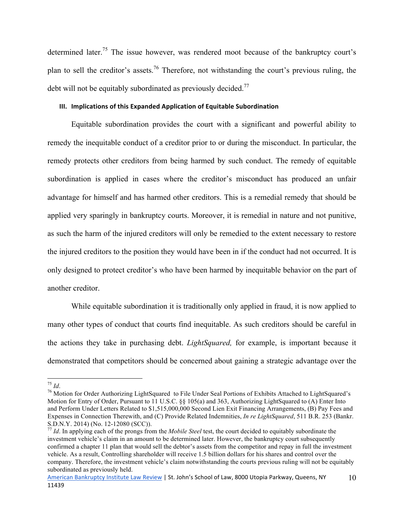determined later.<sup>75</sup> The issue however, was rendered moot because of the bankruptcy court's plan to sell the creditor's assets.<sup>76</sup> Therefore, not withstanding the court's previous ruling, the debt will not be equitably subordinated as previously decided.<sup>77</sup>

#### **III.** Implications of this Expanded Application of Equitable Subordination

Equitable subordination provides the court with a significant and powerful ability to remedy the inequitable conduct of a creditor prior to or during the misconduct. In particular, the remedy protects other creditors from being harmed by such conduct. The remedy of equitable subordination is applied in cases where the creditor's misconduct has produced an unfair advantage for himself and has harmed other creditors. This is a remedial remedy that should be applied very sparingly in bankruptcy courts. Moreover, it is remedial in nature and not punitive, as such the harm of the injured creditors will only be remedied to the extent necessary to restore the injured creditors to the position they would have been in if the conduct had not occurred. It is only designed to protect creditor's who have been harmed by inequitable behavior on the part of another creditor.

While equitable subordination it is traditionally only applied in fraud, it is now applied to many other types of conduct that courts find inequitable. As such creditors should be careful in the actions they take in purchasing debt. *LightSquared,* for example, is important because it demonstrated that competitors should be concerned about gaining a strategic advantage over the

 $^{75}$  Id.

<sup>&</sup>lt;sup>76</sup> Motion for Order Authorizing LightSquared to File Under Seal Portions of Exhibits Attached to LightSquared's Motion for Entry of Order, Pursuant to 11 U.S.C. §§ 105(a) and 363, Authorizing LightSquared to (A) Enter Into and Perform Under Letters Related to \$1,515,000,000 Second Lien Exit Financing Arrangements, (B) Pay Fees and Expenses in Connection Therewith, and (C) Provide Related Indemnities, *In re LightSquared*, 511 B.R. 253 (Bankr.

S.D.N.Y. 2014) (No. 12-12080 (SCC)). <sup>77</sup> *Id*. In applying each of the prongs from the *Mobile Steel* test, the court decided to equitably subordinate the investment vehicle's claim in an amount to be determined later. However, the bankruptcy court subsequently confirmed a chapter 11 plan that would sell the debtor's assets from the competitor and repay in full the investment vehicle. As a result, Controlling shareholder will receive 1.5 billion dollars for his shares and control over the company. Therefore, the investment vehicle's claim notwithstanding the courts previous ruling will not be equitably subordinated as previously held.

American Bankruptcy Institute Law Review | St. John's School of Law, 8000 Utopia Parkway, Queens, NY 11439 10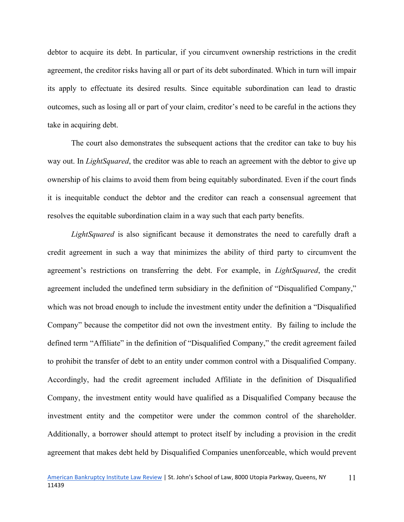debtor to acquire its debt. In particular, if you circumvent ownership restrictions in the credit agreement, the creditor risks having all or part of its debt subordinated. Which in turn will impair its apply to effectuate its desired results. Since equitable subordination can lead to drastic outcomes, such as losing all or part of your claim, creditor's need to be careful in the actions they take in acquiring debt.

The court also demonstrates the subsequent actions that the creditor can take to buy his way out. In *LightSquared*, the creditor was able to reach an agreement with the debtor to give up ownership of his claims to avoid them from being equitably subordinated. Even if the court finds it is inequitable conduct the debtor and the creditor can reach a consensual agreement that resolves the equitable subordination claim in a way such that each party benefits.

*LightSquared* is also significant because it demonstrates the need to carefully draft a credit agreement in such a way that minimizes the ability of third party to circumvent the agreement's restrictions on transferring the debt. For example, in *LightSquared*, the credit agreement included the undefined term subsidiary in the definition of "Disqualified Company," which was not broad enough to include the investment entity under the definition a "Disqualified Company" because the competitor did not own the investment entity. By failing to include the defined term "Affiliate" in the definition of "Disqualified Company," the credit agreement failed to prohibit the transfer of debt to an entity under common control with a Disqualified Company. Accordingly, had the credit agreement included Affiliate in the definition of Disqualified Company, the investment entity would have qualified as a Disqualified Company because the investment entity and the competitor were under the common control of the shareholder. Additionally, a borrower should attempt to protect itself by including a provision in the credit agreement that makes debt held by Disqualified Companies unenforceable, which would prevent